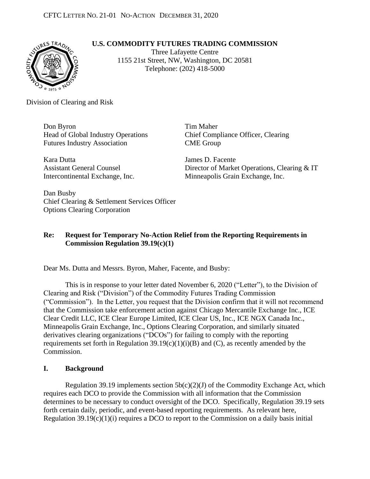#### **U.S. COMMODITY FUTURES TRADING COMMISSION**



Three Lafayette Centre 1155 21st Street, NW, Washington, DC 20581 Telephone: (202) 418-5000

Division of Clearing and Risk

Don Byron Head of Global Industry Operations Futures Industry Association

Kara Dutta Assistant General Counsel Intercontinental Exchange, Inc.

Tim Maher Chief Compliance Officer, Clearing CME Group

James D. Facente Director of Market Operations, Clearing & IT Minneapolis Grain Exchange, Inc.

Dan Busby Chief Clearing & Settlement Services Officer Options Clearing Corporation

## **Re: Request for Temporary No-Action Relief from the Reporting Requirements in Commission Regulation 39.19(c)(1)**

Dear Ms. Dutta and Messrs. Byron, Maher, Facente, and Busby:

This is in response to your letter dated November 6, 2020 ("Letter"), to the Division of Clearing and Risk ("Division") of the Commodity Futures Trading Commission ("Commission"). In the Letter, you request that the Division confirm that it will not recommend that the Commission take enforcement action against Chicago Mercantile Exchange Inc., ICE Clear Credit LLC, ICE Clear Europe Limited, ICE Clear US, Inc., ICE NGX Canada Inc., Minneapolis Grain Exchange, Inc., Options Clearing Corporation, and similarly situated derivatives clearing organizations ("DCOs") for failing to comply with the reporting requirements set forth in Regulation  $39.19(c)(1)(i)(B)$  and (C), as recently amended by the Commission.

### **I. Background**

Regulation 39.19 implements section  $5b(c)(2)(J)$  of the Commodity Exchange Act, which requires each DCO to provide the Commission with all information that the Commission determines to be necessary to conduct oversight of the DCO. Specifically, Regulation 39.19 sets forth certain daily, periodic, and event-based reporting requirements. As relevant here, Regulation  $39.19(c)(1)(i)$  requires a DCO to report to the Commission on a daily basis initial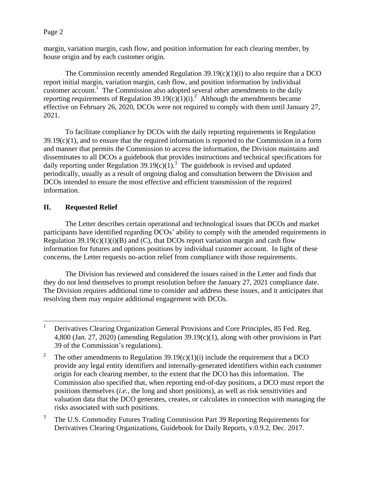Page 2

margin, variation margin, cash flow, and position information for each clearing member, by house origin and by each customer origin.

The Commission recently amended Regulation  $39.19(c)(1)(i)$  to also require that a DCO report initial margin, variation margin, cash flow, and position information by individual customer account.<sup>1</sup> The Commission also adopted several other amendments to the daily reporting requirements of Regulation 39.19(c)(1)(i).<sup>2</sup> Although the amendments became effective on February 26, 2020, DCOs were not required to comply with them until January 27, 2021.

To facilitate compliance by DCOs with the daily reporting requirements in Regulation  $39.19(c)(1)$ , and to ensure that the required information is reported to the Commission in a form and manner that permits the Commission to access the information, the Division maintains and disseminates to all DCOs a guidebook that provides instructions and technical specifications for daily reporting under Regulation 39.19 $(c)(1)$ .<sup>3</sup> The guidebook is revised and updated periodically, usually as a result of ongoing dialog and consultation between the Division and DCOs intended to ensure the most effective and efficient transmission of the required information.

# **II. Requested Relief**

The Letter describes certain operational and technological issues that DCOs and market participants have identified regarding DCOs' ability to comply with the amended requirements in Regulation 39.19 $(c)(1)(i)(B)$  and  $(C)$ , that DCOs report variation margin and cash flow information for futures and options positions by individual customer account. In light of these concerns, the Letter requests no-action relief from compliance with those requirements.

The Division has reviewed and considered the issues raised in the Letter and finds that they do not lend themselves to prompt resolution before the January 27, 2021 compliance date. The Division requires additional time to consider and address these issues, and it anticipates that resolving them may require additional engagement with DCOs.

 $\frac{1}{1}$  Derivatives Clearing Organization General Provisions and Core Principles, 85 Fed. Reg. 4,800 (Jan. 27, 2020) (amending Regulation 39.19(c)(1), along with other provisions in Part 39 of the Commission's regulations).

<sup>2</sup> The other amendments to Regulation  $39.19(c)(1)(i)$  include the requirement that a DCO provide any legal entity identifiers and internally-generated identifiers within each customer origin for each clearing member, to the extent that the DCO has this information. The Commission also specified that, when reporting end-of-day positions, a DCO must report the positions themselves (*i.e.*, the long and short positions), as well as risk sensitivities and valuation data that the DCO generates, creates, or calculates in connection with managing the risks associated with such positions.

<sup>3</sup> The U.S. Commodity Futures Trading Commission Part 39 Reporting Requirements for Derivatives Clearing Organizations, Guidebook for Daily Reports, v.0.9.2, Dec. 2017.